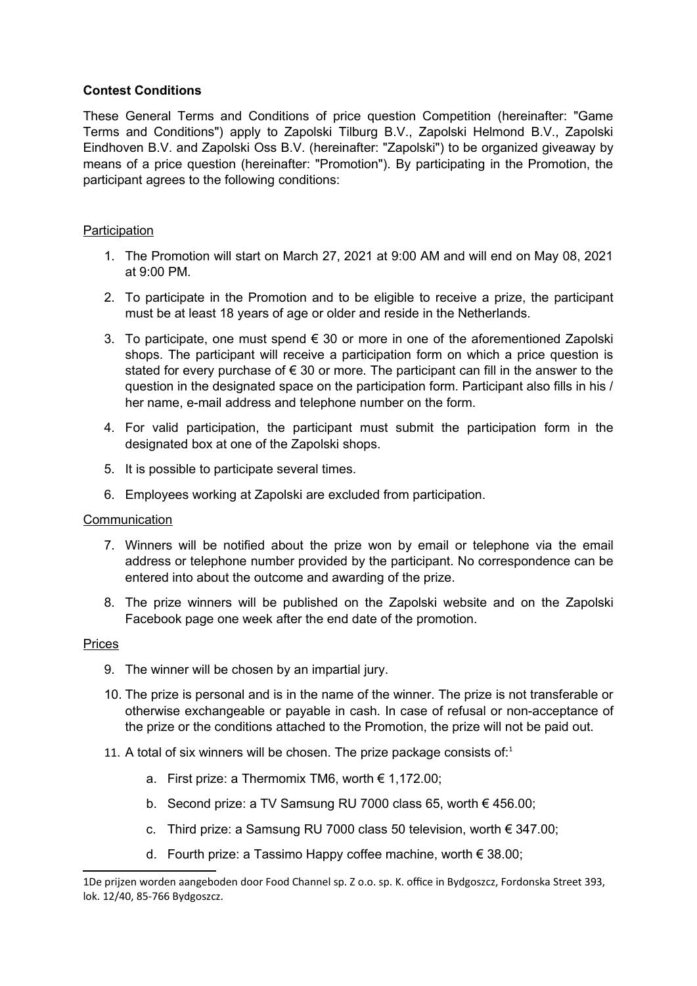# **Contest Conditions**

These General Terms and Conditions of price question Competition (hereinafter: "Game Terms and Conditions") apply to Zapolski Tilburg B.V., Zapolski Helmond B.V., Zapolski Eindhoven B.V. and Zapolski Oss B.V. (hereinafter: "Zapolski") to be organized giveaway by means of a price question (hereinafter: "Promotion"). By participating in the Promotion, the participant agrees to the following conditions:

# **Participation**

- 1. The Promotion will start on March 27, 2021 at 9:00 AM and will end on May 08, 2021 at 9:00 PM.
- 2. To participate in the Promotion and to be eligible to receive a prize, the participant must be at least 18 years of age or older and reside in the Netherlands.
- 3. To participate, one must spend € 30 or more in one of the aforementioned Zapolski shops. The participant will receive a participation form on which a price question is stated for every purchase of  $\epsilon$  30 or more. The participant can fill in the answer to the question in the designated space on the participation form. Participant also fills in his / her name, e-mail address and telephone number on the form.
- 4. For valid participation, the participant must submit the participation form in the designated box at one of the Zapolski shops.
- 5. It is possible to participate several times.
- 6. Employees working at Zapolski are excluded from participation.

#### **Communication**

- 7. Winners will be notified about the prize won by email or telephone via the email address or telephone number provided by the participant. No correspondence can be entered into about the outcome and awarding of the prize.
- 8. The prize winners will be published on the Zapolski website and on the Zapolski Facebook page one week after the end date of the promotion.

#### Prices

- 9. The winner will be chosen by an impartial jury.
- 10. The prize is personal and is in the name of the winner. The prize is not transferable or otherwise exchangeable or payable in cash. In case of refusal or non-acceptance of the prize or the conditions attached to the Promotion, the prize will not be paid out.
- [1](#page-0-0)1. A total of six winners will be chosen. The prize package consists of: $1$ 
	- a. First prize: a Thermomix TM6, worth € 1,172.00;
	- b. Second prize: a TV Samsung RU 7000 class 65, worth € 456.00;
	- c. Third prize: a Samsung RU 7000 class 50 television, worth € 347.00;
	- d. Fourth prize: a Tassimo Happy coffee machine, worth € 38.00;

<span id="page-0-0"></span><sup>1</sup>De prijzen worden aangeboden door Food Channel sp. Z o.o. sp. K. office in Bydgoszcz, Fordonska Street 393, lok. 12/40, 85-766 Bydgoszcz.